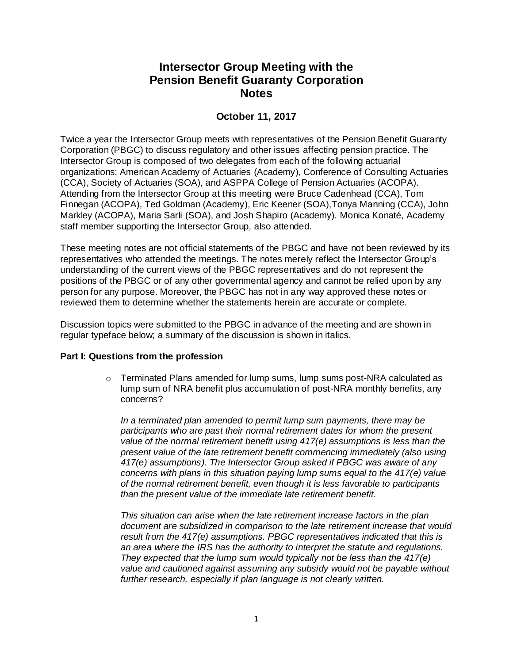# **Intersector Group Meeting with the Pension Benefit Guaranty Corporation Notes**

# **October 11, 2017**

Twice a year the Intersector Group meets with representatives of the Pension Benefit Guaranty Corporation (PBGC) to discuss regulatory and other issues affecting pension practice. The Intersector Group is composed of two delegates from each of the following actuarial organizations: American Academy of Actuaries (Academy), Conference of Consulting Actuaries (CCA), Society of Actuaries (SOA), and ASPPA College of Pension Actuaries (ACOPA). Attending from the Intersector Group at this meeting were Bruce Cadenhead (CCA), Tom Finnegan (ACOPA), Ted Goldman (Academy), Eric Keener (SOA),Tonya Manning (CCA), John Markley (ACOPA), Maria Sarli (SOA), and Josh Shapiro (Academy). Monica Konaté, Academy staff member supporting the Intersector Group, also attended.

These meeting notes are not official statements of the PBGC and have not been reviewed by its representatives who attended the meetings. The notes merely reflect the Intersector Group's understanding of the current views of the PBGC representatives and do not represent the positions of the PBGC or of any other governmental agency and cannot be relied upon by any person for any purpose. Moreover, the PBGC has not in any way approved these notes or reviewed them to determine whether the statements herein are accurate or complete.

Discussion topics were submitted to the PBGC in advance of the meeting and are shown in regular typeface below; a summary of the discussion is shown in italics.

## **Part I: Questions from the profession**

 $\circ$  Terminated Plans amended for lump sums, lump sums post-NRA calculated as lump sum of NRA benefit plus accumulation of post-NRA monthly benefits, any concerns?

*In a terminated plan amended to permit lump sum payments, there may be participants who are past their normal retirement dates for whom the present value of the normal retirement benefit using 417(e) assumptions is less than the present value of the late retirement benefit commencing immediately (also using 417(e) assumptions). The Intersector Group asked if PBGC was aware of any concerns with plans in this situation paying lump sums equal to the 417(e) value of the normal retirement benefit, even though it is less favorable to participants than the present value of the immediate late retirement benefit.*

*This situation can arise when the late retirement increase factors in the plan document are subsidized in comparison to the late retirement increase that would result from the 417(e) assumptions. PBGC representatives indicated that this is an area where the IRS has the authority to interpret the statute and regulations. They expected that the lump sum would typically not be less than the 417(e) value and cautioned against assuming any subsidy would not be payable without further research, especially if plan language is not clearly written.*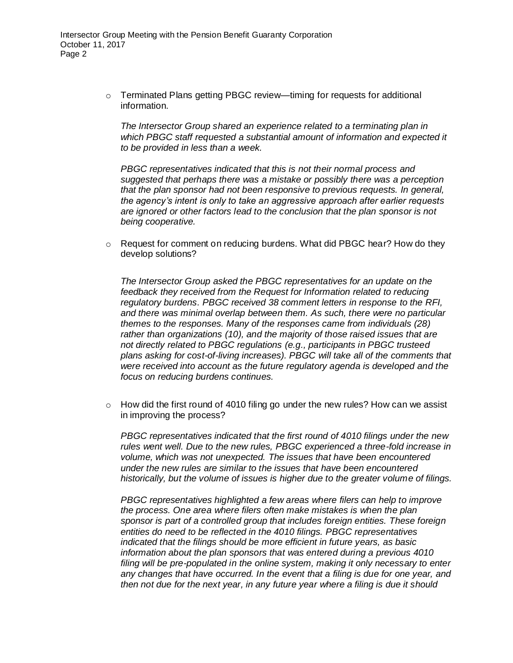$\circ$  Terminated Plans getting PBGC review—timing for requests for additional information.

*The Intersector Group shared an experience related to a terminating plan in which PBGC staff requested a substantial amount of information and expected it to be provided in less than a week.* 

*PBGC representatives indicated that this is not their normal process and suggested that perhaps there was a mistake or possibly there was a perception that the plan sponsor had not been responsive to previous requests. In general, the agency's intent is only to take an aggressive approach after earlier requests are ignored or other factors lead to the conclusion that the plan sponsor is not being cooperative.*

o Request for comment on reducing burdens. What did PBGC hear? How do they develop solutions?

*The Intersector Group asked the PBGC representatives for an update on the feedback they received from the Request for Information related to reducing regulatory burdens. PBGC received 38 comment letters in response to the RFI, and there was minimal overlap between them. As such, there were no particular themes to the responses. Many of the responses came from individuals (28) rather than organizations (10), and the majority of those raised issues that are not directly related to PBGC regulations (e.g., participants in PBGC trusteed plans asking for cost-of-living increases). PBGC will take all of the comments that were received into account as the future regulatory agenda is developed and the focus on reducing burdens continues.*

 $\circ$  How did the first round of 4010 filing go under the new rules? How can we assist in improving the process?

*PBGC representatives indicated that the first round of 4010 filings under the new rules went well. Due to the new rules, PBGC experienced a three-fold increase in volume, which was not unexpected. The issues that have been encountered under the new rules are similar to the issues that have been encountered historically, but the volume of issues is higher due to the greater volume of filings.*

*PBGC representatives highlighted a few areas where filers can help to improve the process. One area where filers often make mistakes is when the plan sponsor is part of a controlled group that includes foreign entities. These foreign entities do need to be reflected in the 4010 filings. PBGC representatives indicated that the filings should be more efficient in future years, as basic information about the plan sponsors that was entered during a previous 4010 filing will be pre-populated in the online system, making it only necessary to enter any changes that have occurred. In the event that a filing is due for one year, and then not due for the next year, in any future year where a filing is due it should*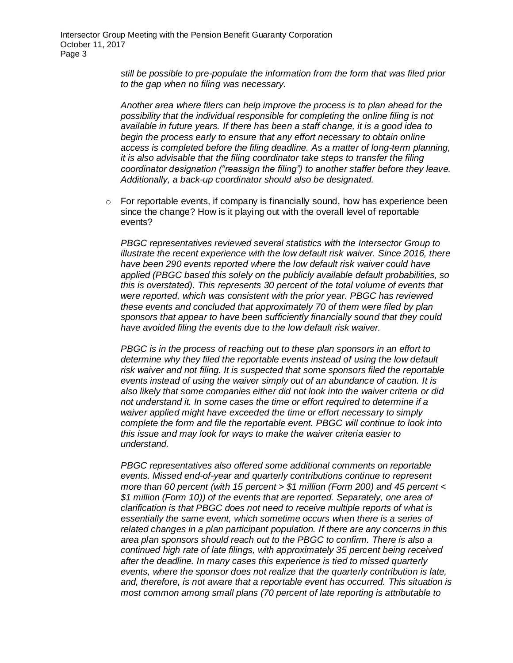*still be possible to pre-populate the information from the form that was filed prior to the gap when no filing was necessary.*

*Another area where filers can help improve the process is to plan ahead for the possibility that the individual responsible for completing the online filing is not available in future years. If there has been a staff change, it is a good idea to begin the process early to ensure that any effort necessary to obtain online access is completed before the filing deadline. As a matter of long-term planning, it is also advisable that the filing coordinator take steps to transfer the filing coordinator designation ("reassign the filing") to another staffer before they leave. Additionally, a back-up coordinator should also be designated.*

 $\circ$  For reportable events, if company is financially sound, how has experience been since the change? How is it playing out with the overall level of reportable events?

*PBGC representatives reviewed several statistics with the Intersector Group to illustrate the recent experience with the low default risk waiver. Since 2016, there have been 290 events reported where the low default risk waiver could have applied (PBGC based this solely on the publicly available default probabilities, so this is overstated). This represents 30 percent of the total volume of events that were reported, which was consistent with the prior year. PBGC has reviewed these events and concluded that approximately 70 of them were filed by plan sponsors that appear to have been sufficiently financially sound that they could have avoided filing the events due to the low default risk waiver.*

*PBGC is in the process of reaching out to these plan sponsors in an effort to determine why they filed the reportable events instead of using the low default risk waiver and not filing. It is suspected that some sponsors filed the reportable events instead of using the waiver simply out of an abundance of caution. It is also likely that some companies either did not look into the waiver criteria or did not understand it. In some cases the time or effort required to determine if a waiver applied might have exceeded the time or effort necessary to simply complete the form and file the reportable event. PBGC will continue to look into this issue and may look for ways to make the waiver criteria easier to understand.*

*PBGC representatives also offered some additional comments on reportable events. Missed end-of-year and quarterly contributions continue to represent more than 60 percent (with 15 percent > \$1 million (Form 200) and 45 percent < \$1 million (Form 10)) of the events that are reported. Separately, one area of clarification is that PBGC does not need to receive multiple reports of what is essentially the same event, which sometime occurs when there is a series of related changes in a plan participant population. If there are any concerns in this area plan sponsors should reach out to the PBGC to confirm. There is also a continued high rate of late filings, with approximately 35 percent being received after the deadline. In many cases this experience is tied to missed quarterly events, where the sponsor does not realize that the quarterly contribution is late, and, therefore, is not aware that a reportable event has occurred. This situation is most common among small plans (70 percent of late reporting is attributable to*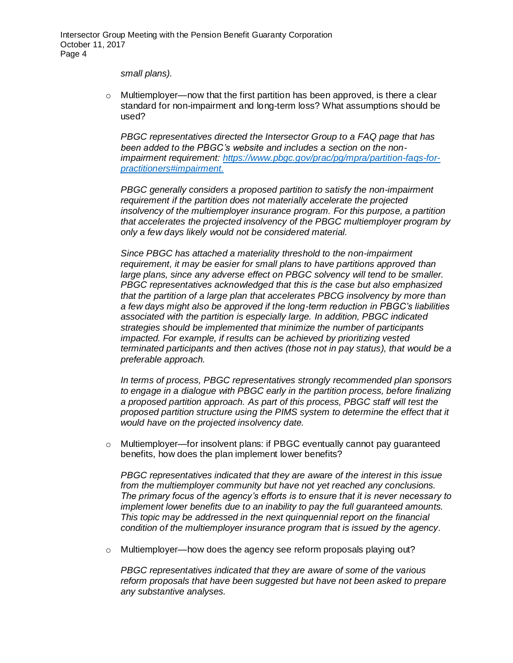#### *small plans).*

 $\circ$  Multiemployer—now that the first partition has been approved, is there a clear standard for non-impairment and long-term loss? What assumptions should be used?

*PBGC representatives directed the Intersector Group to a FAQ page that has been added to the PBGC's website and includes a section on the nonimpairment requirement: [https://www.pbgc.gov/prac/pg/mpra/partition-faqs-for](https://www.pbgc.gov/prac/pg/mpra/partition-faqs-for-practitioners#impairment)[practitioners#impairment.](https://www.pbgc.gov/prac/pg/mpra/partition-faqs-for-practitioners#impairment)*

*PBGC generally considers a proposed partition to satisfy the non-impairment requirement if the partition does not materially accelerate the projected insolvency of the multiemployer insurance program. For this purpose, a partition that accelerates the projected insolvency of the PBGC multiemployer program by only a few days likely would not be considered material.* 

*Since PBGC has attached a materiality threshold to the non-impairment requirement, it may be easier for small plans to have partitions approved than*  large plans, since any adverse effect on PBGC solvency will tend to be smaller. *PBGC representatives acknowledged that this is the case but also emphasized that the partition of a large plan that accelerates PBCG insolvency by more than a few days might also be approved if the long-term reduction in PBGC's liabilities associated with the partition is especially large. In addition, PBGC indicated strategies should be implemented that minimize the number of participants impacted. For example, if results can be achieved by prioritizing vested terminated participants and then actives (those not in pay status), that would be a preferable approach.*

*In terms of process, PBGC representatives strongly recommended plan sponsors to engage in a dialogue with PBGC early in the partition process, before finalizing a proposed partition approach. As part of this process, PBGC staff will test the proposed partition structure using the PIMS system to determine the effect that it would have on the projected insolvency date.*

o Multiemployer—for insolvent plans: if PBGC eventually cannot pay guaranteed benefits, how does the plan implement lower benefits?

*PBGC representatives indicated that they are aware of the interest in this issue from the multiemployer community but have not yet reached any conclusions. The primary focus of the agency's efforts is to ensure that it is never necessary to implement lower benefits due to an inability to pay the full guaranteed amounts. This topic may be addressed in the next quinquennial report on the financial condition of the multiemployer insurance program that is issued by the agency.*

 $\circ$  Multiemployer—how does the agency see reform proposals playing out?

*PBGC representatives indicated that they are aware of some of the various reform proposals that have been suggested but have not been asked to prepare any substantive analyses.*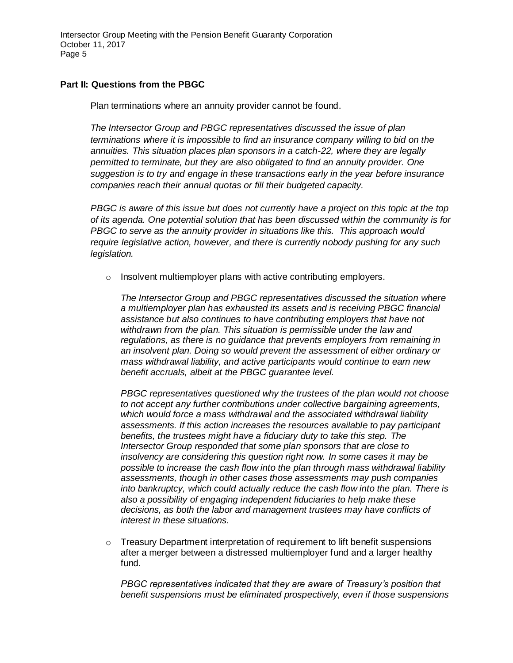Intersector Group Meeting with the Pension Benefit Guaranty Corporation October 11, 2017 Page 5

#### **Part II: Questions from the PBGC**

Plan terminations where an annuity provider cannot be found.

*The Intersector Group and PBGC representatives discussed the issue of plan terminations where it is impossible to find an insurance company willing to bid on the annuities. This situation places plan sponsors in a catch-22, where they are legally permitted to terminate, but they are also obligated to find an annuity provider. One suggestion is to try and engage in these transactions early in the year before insurance companies reach their annual quotas or fill their budgeted capacity.*

*PBGC is aware of this issue but does not currently have a project on this topic at the top of its agenda. One potential solution that has been discussed within the community is for PBGC to serve as the annuity provider in situations like this. This approach would require legislative action, however, and there is currently nobody pushing for any such legislation.*

 $\circ$  Insolvent multiemployer plans with active contributing employers.

*The Intersector Group and PBGC representatives discussed the situation where a multiemployer plan has exhausted its assets and is receiving PBGC financial assistance but also continues to have contributing employers that have not withdrawn from the plan. This situation is permissible under the law and regulations, as there is no guidance that prevents employers from remaining in an insolvent plan. Doing so would prevent the assessment of either ordinary or mass withdrawal liability, and active participants would continue to earn new benefit accruals, albeit at the PBGC guarantee level.*

*PBGC representatives questioned why the trustees of the plan would not choose to not accept any further contributions under collective bargaining agreements, which would force a mass withdrawal and the associated withdrawal liability assessments. If this action increases the resources available to pay participant benefits, the trustees might have a fiduciary duty to take this step. The Intersector Group responded that some plan sponsors that are close to insolvency are considering this question right now. In some cases it may be possible to increase the cash flow into the plan through mass withdrawal liability assessments, though in other cases those assessments may push companies into bankruptcy, which could actually reduce the cash flow into the plan. There is also a possibility of engaging independent fiduciaries to help make these decisions, as both the labor and management trustees may have conflicts of interest in these situations.*

 $\circ$  Treasury Department interpretation of requirement to lift benefit suspensions after a merger between a distressed multiemployer fund and a larger healthy fund.

*PBGC representatives indicated that they are aware of Treasury's position that benefit suspensions must be eliminated prospectively, even if those suspensions*